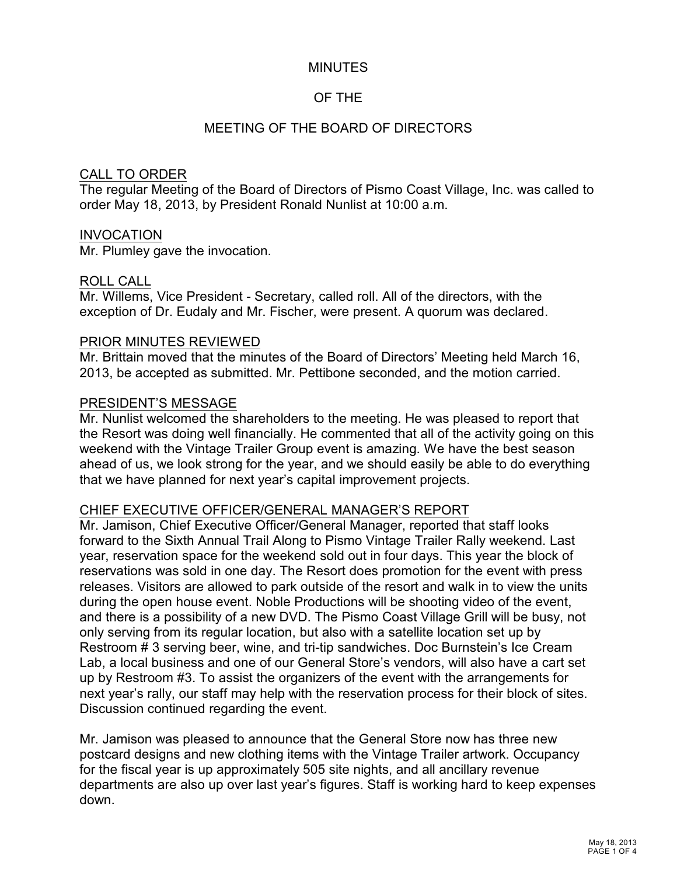# MINUTES

# OF THE

## MEETING OF THE BOARD OF DIRECTORS

### CALL TO ORDER

The regular Meeting of the Board of Directors of Pismo Coast Village, Inc. was called to order May 18, 2013, by President Ronald Nunlist at 10:00 a.m.

### INVOCATION

Mr. Plumley gave the invocation.

### ROLL CALL

Mr. Willems, Vice President - Secretary, called roll. All of the directors, with the exception of Dr. Eudaly and Mr. Fischer, were present. A quorum was declared.

### PRIOR MINUTES REVIEWED

Mr. Brittain moved that the minutes of the Board of Directors' Meeting held March 16, 2013, be accepted as submitted. Mr. Pettibone seconded, and the motion carried.

#### PRESIDENT'S MESSAGE

Mr. Nunlist welcomed the shareholders to the meeting. He was pleased to report that the Resort was doing well financially. He commented that all of the activity going on this weekend with the Vintage Trailer Group event is amazing. We have the best season ahead of us, we look strong for the year, and we should easily be able to do everything that we have planned for next year's capital improvement projects.

#### CHIEF EXECUTIVE OFFICER/GENERAL MANAGER'S REPORT

Mr. Jamison, Chief Executive Officer/General Manager, reported that staff looks forward to the Sixth Annual Trail Along to Pismo Vintage Trailer Rally weekend. Last year, reservation space for the weekend sold out in four days. This year the block of reservations was sold in one day. The Resort does promotion for the event with press releases. Visitors are allowed to park outside of the resort and walk in to view the units during the open house event. Noble Productions will be shooting video of the event, and there is a possibility of a new DVD. The Pismo Coast Village Grill will be busy, not only serving from its regular location, but also with a satellite location set up by Restroom # 3 serving beer, wine, and tri-tip sandwiches. Doc Burnstein's Ice Cream Lab, a local business and one of our General Store's vendors, will also have a cart set up by Restroom #3. To assist the organizers of the event with the arrangements for next year's rally, our staff may help with the reservation process for their block of sites. Discussion continued regarding the event.

Mr. Jamison was pleased to announce that the General Store now has three new postcard designs and new clothing items with the Vintage Trailer artwork. Occupancy for the fiscal year is up approximately 505 site nights, and all ancillary revenue departments are also up over last year's figures. Staff is working hard to keep expenses down.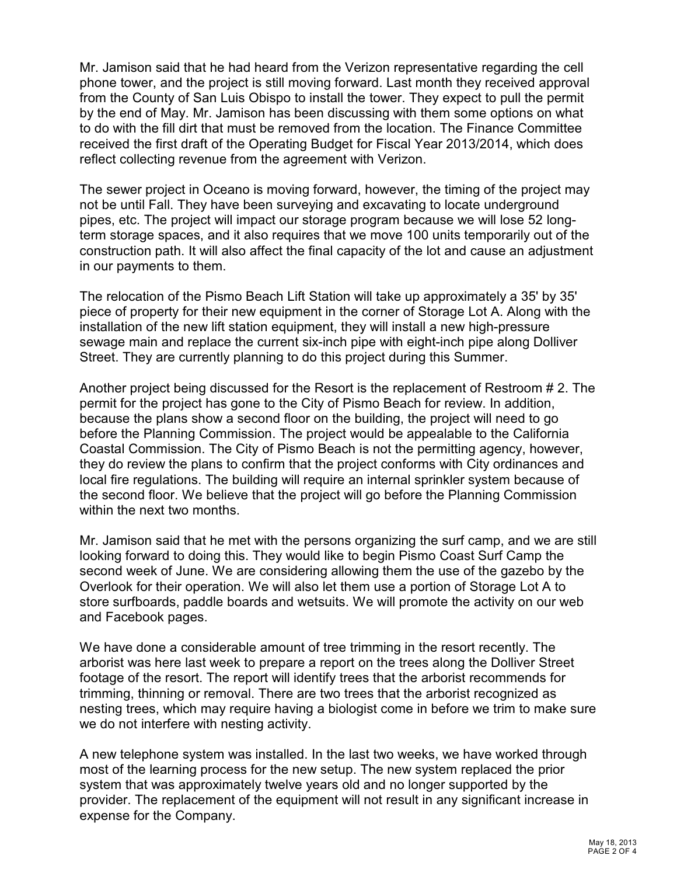Mr. Jamison said that he had heard from the Verizon representative regarding the cell phone tower, and the project is still moving forward. Last month they received approval from the County of San Luis Obispo to install the tower. They expect to pull the permit by the end of May. Mr. Jamison has been discussing with them some options on what to do with the fill dirt that must be removed from the location. The Finance Committee received the first draft of the Operating Budget for Fiscal Year 2013/2014, which does reflect collecting revenue from the agreement with Verizon.

The sewer project in Oceano is moving forward, however, the timing of the project may not be until Fall. They have been surveying and excavating to locate underground pipes, etc. The project will impact our storage program because we will lose 52 longterm storage spaces, and it also requires that we move 100 units temporarily out of the construction path. It will also affect the final capacity of the lot and cause an adjustment in our payments to them.

The relocation of the Pismo Beach Lift Station will take up approximately a 35' by 35' piece of property for their new equipment in the corner of Storage Lot A. Along with the installation of the new lift station equipment, they will install a new high-pressure sewage main and replace the current six-inch pipe with eight-inch pipe along Dolliver Street. They are currently planning to do this project during this Summer.

Another project being discussed for the Resort is the replacement of Restroom # 2. The permit for the project has gone to the City of Pismo Beach for review. In addition, because the plans show a second floor on the building, the project will need to go before the Planning Commission. The project would be appealable to the California Coastal Commission. The City of Pismo Beach is not the permitting agency, however, they do review the plans to confirm that the project conforms with City ordinances and local fire regulations. The building will require an internal sprinkler system because of the second floor. We believe that the project will go before the Planning Commission within the next two months.

Mr. Jamison said that he met with the persons organizing the surf camp, and we are still looking forward to doing this. They would like to begin Pismo Coast Surf Camp the second week of June. We are considering allowing them the use of the gazebo by the Overlook for their operation. We will also let them use a portion of Storage Lot A to store surfboards, paddle boards and wetsuits. We will promote the activity on our web and Facebook pages.

We have done a considerable amount of tree trimming in the resort recently. The arborist was here last week to prepare a report on the trees along the Dolliver Street footage of the resort. The report will identify trees that the arborist recommends for trimming, thinning or removal. There are two trees that the arborist recognized as nesting trees, which may require having a biologist come in before we trim to make sure we do not interfere with nesting activity.

A new telephone system was installed. In the last two weeks, we have worked through most of the learning process for the new setup. The new system replaced the prior system that was approximately twelve years old and no longer supported by the provider. The replacement of the equipment will not result in any significant increase in expense for the Company.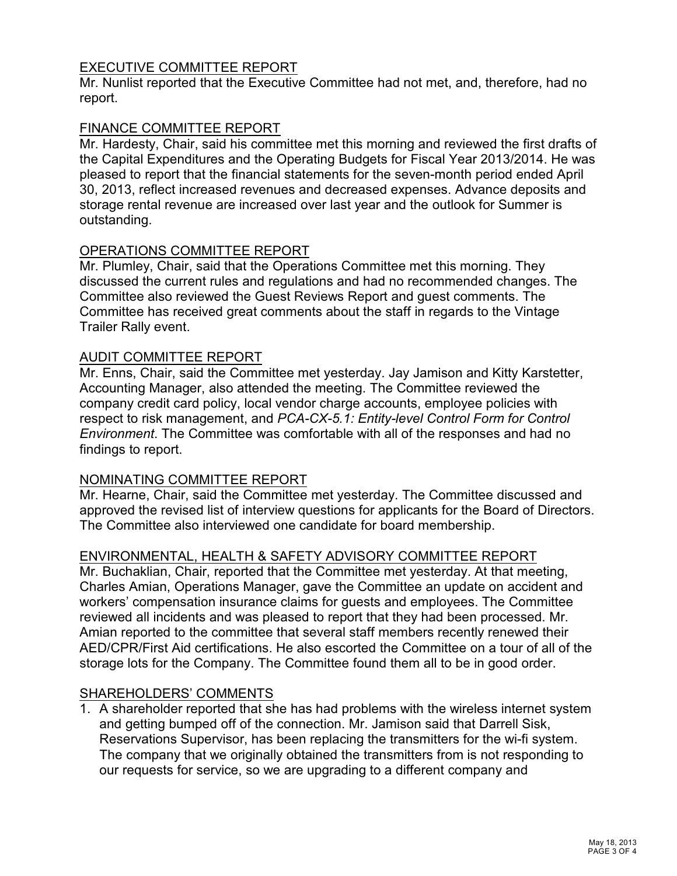# EXECUTIVE COMMITTEE REPORT

Mr. Nunlist reported that the Executive Committee had not met, and, therefore, had no report.

## FINANCE COMMITTEE REPORT

Mr. Hardesty, Chair, said his committee met this morning and reviewed the first drafts of the Capital Expenditures and the Operating Budgets for Fiscal Year 2013/2014. He was pleased to report that the financial statements for the seven-month period ended April 30, 2013, reflect increased revenues and decreased expenses. Advance deposits and storage rental revenue are increased over last year and the outlook for Summer is outstanding.

# OPERATIONS COMMITTEE REPORT

Mr. Plumley, Chair, said that the Operations Committee met this morning. They discussed the current rules and regulations and had no recommended changes. The Committee also reviewed the Guest Reviews Report and guest comments. The Committee has received great comments about the staff in regards to the Vintage Trailer Rally event.

## AUDIT COMMITTEE REPORT

Mr. Enns, Chair, said the Committee met yesterday. Jay Jamison and Kitty Karstetter, Accounting Manager, also attended the meeting. The Committee reviewed the company credit card policy, local vendor charge accounts, employee policies with respect to risk management, and *PCA-CX-5.1: Entity-level Control Form for Control Environment*. The Committee was comfortable with all of the responses and had no findings to report.

## NOMINATING COMMITTEE REPORT

Mr. Hearne, Chair, said the Committee met yesterday. The Committee discussed and approved the revised list of interview questions for applicants for the Board of Directors. The Committee also interviewed one candidate for board membership.

## ENVIRONMENTAL, HEALTH & SAFETY ADVISORY COMMITTEE REPORT

Mr. Buchaklian, Chair, reported that the Committee met yesterday. At that meeting, Charles Amian, Operations Manager, gave the Committee an update on accident and workers' compensation insurance claims for guests and employees. The Committee reviewed all incidents and was pleased to report that they had been processed. Mr. Amian reported to the committee that several staff members recently renewed their AED/CPR/First Aid certifications. He also escorted the Committee on a tour of all of the storage lots for the Company. The Committee found them all to be in good order.

## SHAREHOLDERS' COMMENTS

1. A shareholder reported that she has had problems with the wireless internet system and getting bumped off of the connection. Mr. Jamison said that Darrell Sisk, Reservations Supervisor, has been replacing the transmitters for the wi-fi system. The company that we originally obtained the transmitters from is not responding to our requests for service, so we are upgrading to a different company and